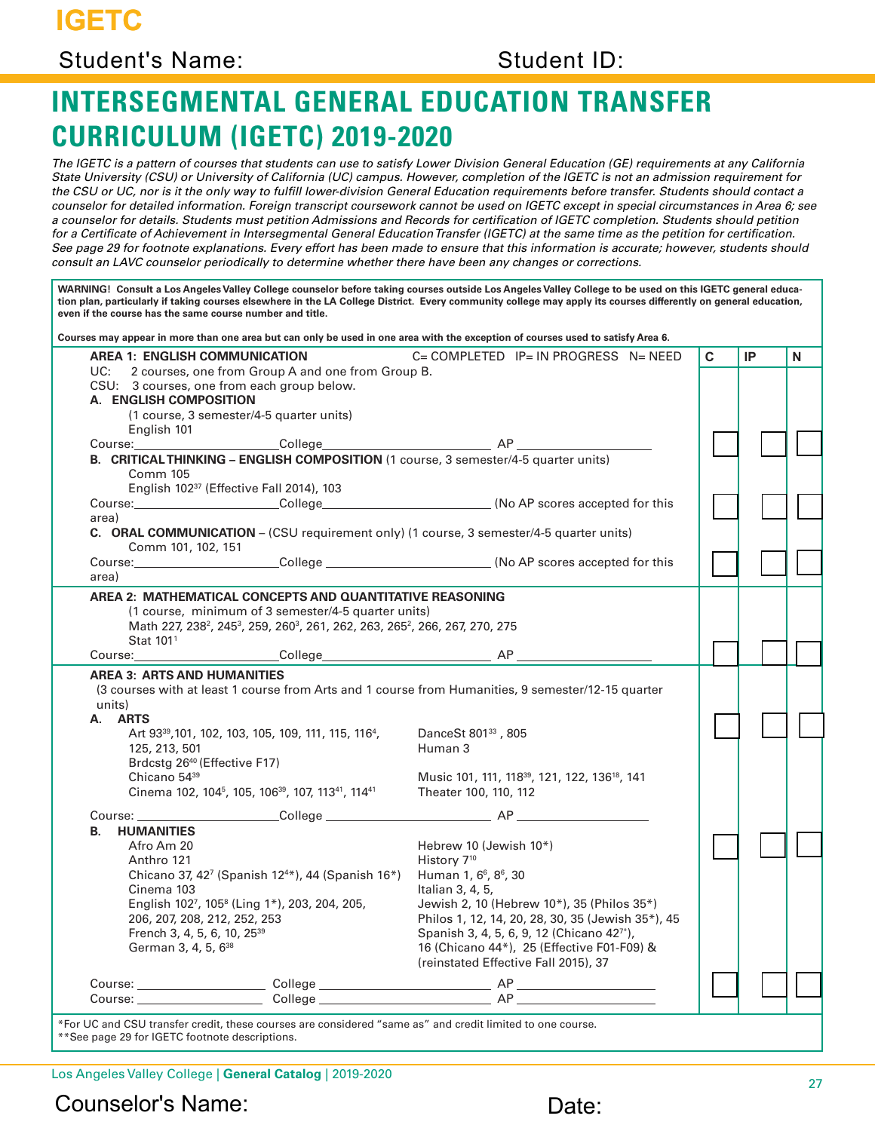**IGETC**

#### Student's Name: Student ID:

# **INTERSEGMENTAL GENERAL EDUCATION TRANSFER CURRICULUM (IGETC) 2019-2020**

*The IGETC is a pattern of courses that students can use to satisfy Lower Division General Education (GE) requirements at any California State University (CSU) or University of California (UC) campus. However, completion of the IGETC is not an admission requirement for the CSU or UC, nor is it the only way to fulfill lower-division General Education requirements before transfer. Students should contact a counselor for detailed information. Foreign transcript coursework cannot be used on IGETC except in special circumstances in Area 6; see a counselor for details. Students must petition Admissions and Records for certification of IGETC completion. Students should petition for a Certificate of Achievement in Intersegmental General Education Transfer (IGETC) at the same time as the petition for certification. See page 29 for footnote explanations. Every effort has been made to ensure that this information is accurate; however, students should consult an LAVC counselor periodically to determine whether there have been any changes or corrections.*

| WARNING! Consult a Los Angeles Valley College counselor before taking courses outside Los Angeles Valley College to be used on this IGETC general educa-<br>tion plan, particularly if taking courses elsewhere in the LA College District. Every community college may apply its courses differently on general education,<br>even if the course has the same course number and title.<br>Courses may appear in more than one area but can only be used in one area with the exception of courses used to satisfy Area 6. |                                                                                                      |                                                                                                                                                                                                                                |                                                                                                                                                                                                                                                                                                                                                              |   |    |   |  |
|----------------------------------------------------------------------------------------------------------------------------------------------------------------------------------------------------------------------------------------------------------------------------------------------------------------------------------------------------------------------------------------------------------------------------------------------------------------------------------------------------------------------------|------------------------------------------------------------------------------------------------------|--------------------------------------------------------------------------------------------------------------------------------------------------------------------------------------------------------------------------------|--------------------------------------------------------------------------------------------------------------------------------------------------------------------------------------------------------------------------------------------------------------------------------------------------------------------------------------------------------------|---|----|---|--|
|                                                                                                                                                                                                                                                                                                                                                                                                                                                                                                                            |                                                                                                      | AREA 1: ENGLISH COMMUNICATION                                                                                                                                                                                                  | $C = COMPLETED$ IP= IN PROGRESS N= NEED                                                                                                                                                                                                                                                                                                                      | C | IP | N |  |
|                                                                                                                                                                                                                                                                                                                                                                                                                                                                                                                            | UC:                                                                                                  | 2 courses, one from Group A and one from Group B.                                                                                                                                                                              |                                                                                                                                                                                                                                                                                                                                                              |   |    |   |  |
|                                                                                                                                                                                                                                                                                                                                                                                                                                                                                                                            |                                                                                                      | CSU: 3 courses, one from each group below.                                                                                                                                                                                     |                                                                                                                                                                                                                                                                                                                                                              |   |    |   |  |
|                                                                                                                                                                                                                                                                                                                                                                                                                                                                                                                            | A. ENGLISH COMPOSITION                                                                               |                                                                                                                                                                                                                                |                                                                                                                                                                                                                                                                                                                                                              |   |    |   |  |
|                                                                                                                                                                                                                                                                                                                                                                                                                                                                                                                            |                                                                                                      | (1 course, 3 semester/4-5 quarter units)                                                                                                                                                                                       |                                                                                                                                                                                                                                                                                                                                                              |   |    |   |  |
|                                                                                                                                                                                                                                                                                                                                                                                                                                                                                                                            | English 101                                                                                          |                                                                                                                                                                                                                                |                                                                                                                                                                                                                                                                                                                                                              |   |    |   |  |
|                                                                                                                                                                                                                                                                                                                                                                                                                                                                                                                            | Course: 2008                                                                                         |                                                                                                                                                                                                                                |                                                                                                                                                                                                                                                                                                                                                              |   |    |   |  |
|                                                                                                                                                                                                                                                                                                                                                                                                                                                                                                                            |                                                                                                      | B. CRITICALTHINKING - ENGLISH COMPOSITION (1 course, 3 semester/4-5 quarter units)<br>Comm 105                                                                                                                                 |                                                                                                                                                                                                                                                                                                                                                              |   |    |   |  |
|                                                                                                                                                                                                                                                                                                                                                                                                                                                                                                                            |                                                                                                      | English 102 <sup>37</sup> (Effective Fall 2014), 103                                                                                                                                                                           |                                                                                                                                                                                                                                                                                                                                                              |   |    |   |  |
|                                                                                                                                                                                                                                                                                                                                                                                                                                                                                                                            |                                                                                                      |                                                                                                                                                                                                                                |                                                                                                                                                                                                                                                                                                                                                              |   |    |   |  |
|                                                                                                                                                                                                                                                                                                                                                                                                                                                                                                                            |                                                                                                      | area)<br><b>C.</b> ORAL COMMUNICATION – (CSU requirement only) (1 course, 3 semester/4-5 quarter units)<br>Comm 101, 102, 151                                                                                                  |                                                                                                                                                                                                                                                                                                                                                              |   |    |   |  |
|                                                                                                                                                                                                                                                                                                                                                                                                                                                                                                                            |                                                                                                      |                                                                                                                                                                                                                                | Course: Course: College College College Course: Course:                                                                                                                                                                                                                                                                                                      |   |    |   |  |
|                                                                                                                                                                                                                                                                                                                                                                                                                                                                                                                            | area)                                                                                                |                                                                                                                                                                                                                                |                                                                                                                                                                                                                                                                                                                                                              |   |    |   |  |
|                                                                                                                                                                                                                                                                                                                                                                                                                                                                                                                            | Stat 101 <sup>1</sup>                                                                                | (1 course, minimum of 3 semester/4-5 quarter units)<br>Math 227, 238 <sup>2</sup> , 245 <sup>3</sup> , 259, 260 <sup>3</sup> , 261, 262, 263, 265 <sup>2</sup> , 266, 267, 270, 275                                            |                                                                                                                                                                                                                                                                                                                                                              |   |    |   |  |
|                                                                                                                                                                                                                                                                                                                                                                                                                                                                                                                            | <b>AREA 3: ARTS AND HUMANITIES</b><br>units)<br>A. ARTS<br>125, 213, 501<br>Chicano 54 <sup>39</sup> | Art 93 <sup>39</sup> , 101, 102, 103, 105, 109, 111, 115, 116 <sup>4</sup> ,<br>Brdcstg 26 <sup>40</sup> (Effective F17)<br>Cinema 102, 104 <sup>5</sup> , 105, 106 <sup>39</sup> , 107, 113 <sup>41</sup> , 114 <sup>41</sup> | (3 courses with at least 1 course from Arts and 1 course from Humanities, 9 semester/12-15 quarter<br>DanceSt 801 <sup>33</sup> , 805<br>Human 3<br>Music 101, 111, 118 <sup>39</sup> , 121, 122, 136 <sup>18</sup> , 141<br>Theater 100, 110, 112                                                                                                           |   |    |   |  |
|                                                                                                                                                                                                                                                                                                                                                                                                                                                                                                                            |                                                                                                      |                                                                                                                                                                                                                                |                                                                                                                                                                                                                                                                                                                                                              |   |    |   |  |
|                                                                                                                                                                                                                                                                                                                                                                                                                                                                                                                            | <b>HUMANITIES</b><br>В.                                                                              |                                                                                                                                                                                                                                |                                                                                                                                                                                                                                                                                                                                                              |   |    |   |  |
|                                                                                                                                                                                                                                                                                                                                                                                                                                                                                                                            | Afro Am 20<br>Anthro 121<br>Cinema 103<br>German 3, 4, 5, 6 <sup>38</sup>                            | Chicano 37, 427 (Spanish 12 <sup>4*</sup> ), 44 (Spanish 16 <sup>*</sup> )<br>English 1027, 1058 (Ling 1*), 203, 204, 205,<br>206, 207, 208, 212, 252, 253<br>French 3, 4, 5, 6, 10, 25 <sup>39</sup>                          | Hebrew 10 (Jewish 10*)<br>History 7 <sup>10</sup><br>Human 1, 6 <sup>6</sup> , 8 <sup>6</sup> , 30<br>Italian 3, 4, 5,<br>Jewish 2, 10 (Hebrew 10*), 35 (Philos 35*)<br>Philos 1, 12, 14, 20, 28, 30, 35 (Jewish 35*), 45<br>Spanish 3, 4, 5, 6, 9, 12 (Chicano 427*),<br>16 (Chicano 44*), 25 (Effective F01-F09) &<br>(reinstated Effective Fall 2015), 37 |   |    |   |  |
|                                                                                                                                                                                                                                                                                                                                                                                                                                                                                                                            |                                                                                                      |                                                                                                                                                                                                                                |                                                                                                                                                                                                                                                                                                                                                              |   |    |   |  |
|                                                                                                                                                                                                                                                                                                                                                                                                                                                                                                                            |                                                                                                      |                                                                                                                                                                                                                                |                                                                                                                                                                                                                                                                                                                                                              |   |    |   |  |
|                                                                                                                                                                                                                                                                                                                                                                                                                                                                                                                            |                                                                                                      | *Fer UC and CSU transfer arodity these equippes are considered "same as" and eredit limited to ano equippe                                                                                                                     |                                                                                                                                                                                                                                                                                                                                                              |   |    |   |  |

\*For UC and CSU transfer credit, these courses are considered "same as" and credit limited to one course. \*\*See page 29 for IGETC footnote descriptions.

Los Angeles Valley College | **General Catalog** | 2019-2020 <sup>27</sup>

#### Counselor's Name: Date: Date:

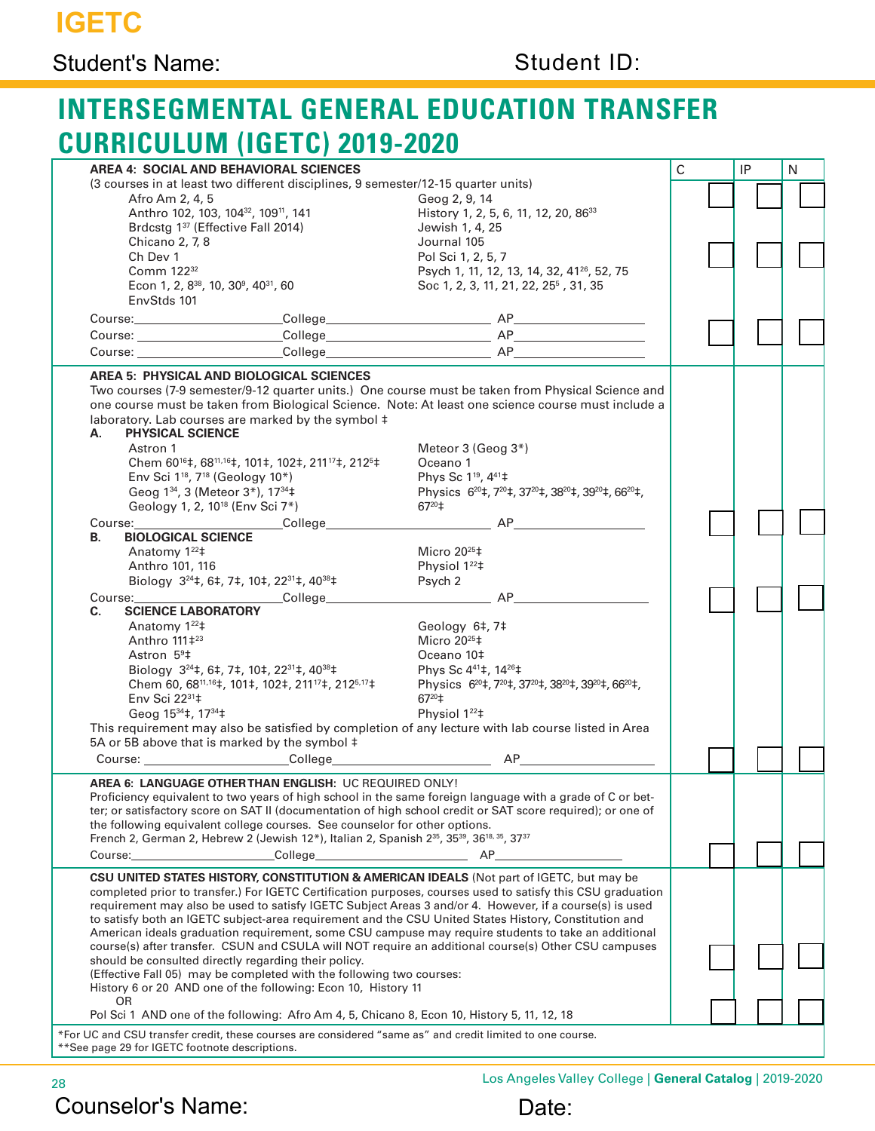### Student's Name: Student ID:

# **INTERSEGMENTAL GENERAL EDUCATION TRANSFER CURRICULUM (IGETC) 2019-2020**

|                                                                                                                                                                                                                                                                                                                                                                                                                                                                                                                                                                                                                                                                                                                                                                                                                                                        | <b>AREA 4: SOCIAL AND BEHAVIORAL SCIENCES</b>                                                                                                                                                                                                                                      |                                                                                                                                                                                                                          | $\mathsf{C}$ |  | IP | N |
|--------------------------------------------------------------------------------------------------------------------------------------------------------------------------------------------------------------------------------------------------------------------------------------------------------------------------------------------------------------------------------------------------------------------------------------------------------------------------------------------------------------------------------------------------------------------------------------------------------------------------------------------------------------------------------------------------------------------------------------------------------------------------------------------------------------------------------------------------------|------------------------------------------------------------------------------------------------------------------------------------------------------------------------------------------------------------------------------------------------------------------------------------|--------------------------------------------------------------------------------------------------------------------------------------------------------------------------------------------------------------------------|--------------|--|----|---|
|                                                                                                                                                                                                                                                                                                                                                                                                                                                                                                                                                                                                                                                                                                                                                                                                                                                        | (3 courses in at least two different disciplines, 9 semester/12-15 quarter units)                                                                                                                                                                                                  |                                                                                                                                                                                                                          |              |  |    |   |
| Afro Am 2, 4, 5                                                                                                                                                                                                                                                                                                                                                                                                                                                                                                                                                                                                                                                                                                                                                                                                                                        |                                                                                                                                                                                                                                                                                    | Geog 2, 9, 14                                                                                                                                                                                                            |              |  |    |   |
|                                                                                                                                                                                                                                                                                                                                                                                                                                                                                                                                                                                                                                                                                                                                                                                                                                                        | Anthro 102, 103, 104 <sup>32</sup> , 109 <sup>11</sup> , 141                                                                                                                                                                                                                       | History 1, 2, 5, 6, 11, 12, 20, 86 <sup>33</sup>                                                                                                                                                                         |              |  |    |   |
|                                                                                                                                                                                                                                                                                                                                                                                                                                                                                                                                                                                                                                                                                                                                                                                                                                                        | Brdcstg 1 <sup>37</sup> (Effective Fall 2014)                                                                                                                                                                                                                                      | Jewish 1, 4, 25                                                                                                                                                                                                          |              |  |    |   |
|                                                                                                                                                                                                                                                                                                                                                                                                                                                                                                                                                                                                                                                                                                                                                                                                                                                        |                                                                                                                                                                                                                                                                                    | Journal 105                                                                                                                                                                                                              |              |  |    |   |
| Chicano 2, 7, 8                                                                                                                                                                                                                                                                                                                                                                                                                                                                                                                                                                                                                                                                                                                                                                                                                                        |                                                                                                                                                                                                                                                                                    |                                                                                                                                                                                                                          |              |  |    |   |
| Ch Dev 1                                                                                                                                                                                                                                                                                                                                                                                                                                                                                                                                                                                                                                                                                                                                                                                                                                               |                                                                                                                                                                                                                                                                                    | Pol Sci 1, 2, 5, 7                                                                                                                                                                                                       |              |  |    |   |
| Comm 122 <sup>32</sup>                                                                                                                                                                                                                                                                                                                                                                                                                                                                                                                                                                                                                                                                                                                                                                                                                                 |                                                                                                                                                                                                                                                                                    | Psych 1, 11, 12, 13, 14, 32, 41 <sup>26</sup> , 52, 75                                                                                                                                                                   |              |  |    |   |
| Econ 1, 2, 8 <sup>38</sup> , 10, 30 <sup>9</sup> , 40 <sup>31</sup> , 60                                                                                                                                                                                                                                                                                                                                                                                                                                                                                                                                                                                                                                                                                                                                                                               |                                                                                                                                                                                                                                                                                    | Soc 1, 2, 3, 11, 21, 22, 25 <sup>5</sup> , 31, 35                                                                                                                                                                        |              |  |    |   |
| EnvStds 101                                                                                                                                                                                                                                                                                                                                                                                                                                                                                                                                                                                                                                                                                                                                                                                                                                            |                                                                                                                                                                                                                                                                                    |                                                                                                                                                                                                                          |              |  |    |   |
|                                                                                                                                                                                                                                                                                                                                                                                                                                                                                                                                                                                                                                                                                                                                                                                                                                                        |                                                                                                                                                                                                                                                                                    |                                                                                                                                                                                                                          |              |  |    |   |
|                                                                                                                                                                                                                                                                                                                                                                                                                                                                                                                                                                                                                                                                                                                                                                                                                                                        |                                                                                                                                                                                                                                                                                    |                                                                                                                                                                                                                          |              |  |    |   |
|                                                                                                                                                                                                                                                                                                                                                                                                                                                                                                                                                                                                                                                                                                                                                                                                                                                        |                                                                                                                                                                                                                                                                                    |                                                                                                                                                                                                                          |              |  |    |   |
|                                                                                                                                                                                                                                                                                                                                                                                                                                                                                                                                                                                                                                                                                                                                                                                                                                                        |                                                                                                                                                                                                                                                                                    |                                                                                                                                                                                                                          |              |  |    |   |
| AREA 5: PHYSICAL AND BIOLOGICAL SCIENCES<br>Two courses (7-9 semester/9-12 quarter units.) One course must be taken from Physical Science and<br>one course must be taken from Biological Science. Note: At least one science course must include a<br>laboratory. Lab courses are marked by the symbol ‡                                                                                                                                                                                                                                                                                                                                                                                                                                                                                                                                              |                                                                                                                                                                                                                                                                                    |                                                                                                                                                                                                                          |              |  |    |   |
| PHYSICAL SCIENCE<br>А.                                                                                                                                                                                                                                                                                                                                                                                                                                                                                                                                                                                                                                                                                                                                                                                                                                 |                                                                                                                                                                                                                                                                                    |                                                                                                                                                                                                                          |              |  |    |   |
| Astron 1                                                                                                                                                                                                                                                                                                                                                                                                                                                                                                                                                                                                                                                                                                                                                                                                                                               |                                                                                                                                                                                                                                                                                    | Meteor 3 (Geog 3*)                                                                                                                                                                                                       |              |  |    |   |
|                                                                                                                                                                                                                                                                                                                                                                                                                                                                                                                                                                                                                                                                                                                                                                                                                                                        | Chem 60 <sup>16</sup> ‡, 68 <sup>11,16</sup> ‡, 101‡, 102‡, 211 <sup>17</sup> ‡, 212 <sup>5</sup> ‡                                                                                                                                                                                | Oceano 1                                                                                                                                                                                                                 |              |  |    |   |
| Env Sci 1 <sup>18</sup> , 7 <sup>18</sup> (Geology 10*)                                                                                                                                                                                                                                                                                                                                                                                                                                                                                                                                                                                                                                                                                                                                                                                                |                                                                                                                                                                                                                                                                                    | Phys Sc 1 <sup>19</sup> , 4 <sup>41</sup> ‡                                                                                                                                                                              |              |  |    |   |
| Geog 1 <sup>34</sup> , 3 (Meteor 3 <sup>*</sup> ), 17 <sup>34</sup> ‡                                                                                                                                                                                                                                                                                                                                                                                                                                                                                                                                                                                                                                                                                                                                                                                  |                                                                                                                                                                                                                                                                                    | Physics 6 <sup>20</sup> ‡, 7 <sup>20</sup> ‡, 37 <sup>20</sup> ‡, 38 <sup>20</sup> ‡, 39 <sup>20</sup> ‡, 66 <sup>20</sup> ‡,                                                                                            |              |  |    |   |
|                                                                                                                                                                                                                                                                                                                                                                                                                                                                                                                                                                                                                                                                                                                                                                                                                                                        |                                                                                                                                                                                                                                                                                    |                                                                                                                                                                                                                          |              |  |    |   |
| Geology 1, 2, 10 <sup>18</sup> (Env Sci 7*)                                                                                                                                                                                                                                                                                                                                                                                                                                                                                                                                                                                                                                                                                                                                                                                                            |                                                                                                                                                                                                                                                                                    | $67^{20}$ <sup>±</sup>                                                                                                                                                                                                   |              |  |    |   |
|                                                                                                                                                                                                                                                                                                                                                                                                                                                                                                                                                                                                                                                                                                                                                                                                                                                        |                                                                                                                                                                                                                                                                                    |                                                                                                                                                                                                                          |              |  |    |   |
| <b>BIOLOGICAL SCIENCE</b><br>В.                                                                                                                                                                                                                                                                                                                                                                                                                                                                                                                                                                                                                                                                                                                                                                                                                        |                                                                                                                                                                                                                                                                                    |                                                                                                                                                                                                                          |              |  |    |   |
| Anatomy 1 <sup>22</sup> <sup>‡</sup>                                                                                                                                                                                                                                                                                                                                                                                                                                                                                                                                                                                                                                                                                                                                                                                                                   |                                                                                                                                                                                                                                                                                    | Micro $20^{25}$ <sup>±</sup>                                                                                                                                                                                             |              |  |    |   |
| Anthro 101, 116                                                                                                                                                                                                                                                                                                                                                                                                                                                                                                                                                                                                                                                                                                                                                                                                                                        |                                                                                                                                                                                                                                                                                    | Physiol 122#                                                                                                                                                                                                             |              |  |    |   |
|                                                                                                                                                                                                                                                                                                                                                                                                                                                                                                                                                                                                                                                                                                                                                                                                                                                        | Biology 3 <sup>24</sup> ‡, 6‡, 7‡, 10‡, 22 <sup>31</sup> ‡, 40 <sup>38</sup> ‡                                                                                                                                                                                                     | Psych 2                                                                                                                                                                                                                  |              |  |    |   |
|                                                                                                                                                                                                                                                                                                                                                                                                                                                                                                                                                                                                                                                                                                                                                                                                                                                        | Course: Content College                                                                                                                                                                                                                                                            | AP                                                                                                                                                                                                                       |              |  |    |   |
| <b>SCIENCE LABORATORY</b><br>C.                                                                                                                                                                                                                                                                                                                                                                                                                                                                                                                                                                                                                                                                                                                                                                                                                        |                                                                                                                                                                                                                                                                                    |                                                                                                                                                                                                                          |              |  |    |   |
|                                                                                                                                                                                                                                                                                                                                                                                                                                                                                                                                                                                                                                                                                                                                                                                                                                                        |                                                                                                                                                                                                                                                                                    |                                                                                                                                                                                                                          |              |  |    |   |
| Anatomy 1 <sup>22</sup> <sup>‡</sup>                                                                                                                                                                                                                                                                                                                                                                                                                                                                                                                                                                                                                                                                                                                                                                                                                   |                                                                                                                                                                                                                                                                                    | Geology 6‡, 7‡                                                                                                                                                                                                           |              |  |    |   |
| Anthro 111‡ <sup>23</sup>                                                                                                                                                                                                                                                                                                                                                                                                                                                                                                                                                                                                                                                                                                                                                                                                                              |                                                                                                                                                                                                                                                                                    | Micro $20^{25}$ <sup>±</sup>                                                                                                                                                                                             |              |  |    |   |
| Astron $5^9$ <sup>#</sup>                                                                                                                                                                                                                                                                                                                                                                                                                                                                                                                                                                                                                                                                                                                                                                                                                              |                                                                                                                                                                                                                                                                                    | Oceano 10‡                                                                                                                                                                                                               |              |  |    |   |
|                                                                                                                                                                                                                                                                                                                                                                                                                                                                                                                                                                                                                                                                                                                                                                                                                                                        | Biology $3^{24}$ ‡, 6‡, 7‡, 10‡, 22 <sup>31</sup> ‡, 40 <sup>38</sup> ‡                                                                                                                                                                                                            | Phys Sc 441‡, 1426‡                                                                                                                                                                                                      |              |  |    |   |
|                                                                                                                                                                                                                                                                                                                                                                                                                                                                                                                                                                                                                                                                                                                                                                                                                                                        | Chem 60, 6811,16‡, 101‡, 102‡, 21117‡, 2125,17‡                                                                                                                                                                                                                                    | Physics 6 <sup>20</sup> ‡, 7 <sup>20</sup> ‡, 37 <sup>20</sup> ‡, 38 <sup>20</sup> ‡, 39 <sup>20</sup> ‡, 66 <sup>20</sup> ‡,                                                                                            |              |  |    |   |
| Env Sci 2231#                                                                                                                                                                                                                                                                                                                                                                                                                                                                                                                                                                                                                                                                                                                                                                                                                                          |                                                                                                                                                                                                                                                                                    | $67^{20}$ <sup>±</sup>                                                                                                                                                                                                   |              |  |    |   |
| Geog 15 <sup>34</sup> ‡, 17 <sup>34</sup> ‡                                                                                                                                                                                                                                                                                                                                                                                                                                                                                                                                                                                                                                                                                                                                                                                                            |                                                                                                                                                                                                                                                                                    | Physiol 1 <sup>22</sup> <sup>+</sup>                                                                                                                                                                                     |              |  |    |   |
|                                                                                                                                                                                                                                                                                                                                                                                                                                                                                                                                                                                                                                                                                                                                                                                                                                                        |                                                                                                                                                                                                                                                                                    | This requirement may also be satisfied by completion of any lecture with lab course listed in Area                                                                                                                       |              |  |    |   |
|                                                                                                                                                                                                                                                                                                                                                                                                                                                                                                                                                                                                                                                                                                                                                                                                                                                        |                                                                                                                                                                                                                                                                                    |                                                                                                                                                                                                                          |              |  |    |   |
|                                                                                                                                                                                                                                                                                                                                                                                                                                                                                                                                                                                                                                                                                                                                                                                                                                                        | 5A or 5B above that is marked by the symbol ‡                                                                                                                                                                                                                                      |                                                                                                                                                                                                                          |              |  |    |   |
|                                                                                                                                                                                                                                                                                                                                                                                                                                                                                                                                                                                                                                                                                                                                                                                                                                                        |                                                                                                                                                                                                                                                                                    | Course: Course: College College AP                                                                                                                                                                                       |              |  |    |   |
|                                                                                                                                                                                                                                                                                                                                                                                                                                                                                                                                                                                                                                                                                                                                                                                                                                                        |                                                                                                                                                                                                                                                                                    |                                                                                                                                                                                                                          |              |  |    |   |
|                                                                                                                                                                                                                                                                                                                                                                                                                                                                                                                                                                                                                                                                                                                                                                                                                                                        | AREA 6: LANGUAGE OTHER THAN ENGLISH: UC REQUIRED ONLY!<br>the following equivalent college courses. See counselor for other options.<br>French 2, German 2, Hebrew 2 (Jewish 12*), Italian 2, Spanish 2 <sup>35</sup> , 35 <sup>39</sup> , 36 <sup>18, 35</sup> , 37 <sup>37</sup> | Proficiency equivalent to two years of high school in the same foreign language with a grade of C or bet-<br>ter; or satisfactory score on SAT II (documentation of high school credit or SAT score required); or one of |              |  |    |   |
| Course:                                                                                                                                                                                                                                                                                                                                                                                                                                                                                                                                                                                                                                                                                                                                                                                                                                                | College                                                                                                                                                                                                                                                                            | AP<br><u> 1990 - Johann Barbara, martin a</u>                                                                                                                                                                            |              |  |    |   |
|                                                                                                                                                                                                                                                                                                                                                                                                                                                                                                                                                                                                                                                                                                                                                                                                                                                        |                                                                                                                                                                                                                                                                                    |                                                                                                                                                                                                                          |              |  |    |   |
| <b>CSU UNITED STATES HISTORY, CONSTITUTION &amp; AMERICAN IDEALS</b> (Not part of IGETC, but may be<br>completed prior to transfer.) For IGETC Certification purposes, courses used to satisfy this CSU graduation<br>requirement may also be used to satisfy IGETC Subject Areas 3 and/or 4. However, if a course(s) is used<br>to satisfy both an IGETC subject-area requirement and the CSU United States History, Constitution and<br>American ideals graduation requirement, some CSU campuse may require students to take an additional<br>course(s) after transfer. CSUN and CSULA will NOT require an additional course(s) Other CSU campuses<br>should be consulted directly regarding their policy.<br>(Effective Fall 05) may be completed with the following two courses:<br>History 6 or 20 AND one of the following: Econ 10, History 11 |                                                                                                                                                                                                                                                                                    |                                                                                                                                                                                                                          |              |  |    |   |
| 0R                                                                                                                                                                                                                                                                                                                                                                                                                                                                                                                                                                                                                                                                                                                                                                                                                                                     |                                                                                                                                                                                                                                                                                    |                                                                                                                                                                                                                          |              |  |    |   |
|                                                                                                                                                                                                                                                                                                                                                                                                                                                                                                                                                                                                                                                                                                                                                                                                                                                        | Pol Sci 1 AND one of the following: Afro Am 4, 5, Chicano 8, Econ 10, History 5, 11, 12, 18                                                                                                                                                                                        |                                                                                                                                                                                                                          |              |  |    |   |
| *For UC and CSU transfer credit, these courses are considered "same as" and credit limited to one course.<br>**See page 29 for IGETC footnote descriptions.                                                                                                                                                                                                                                                                                                                                                                                                                                                                                                                                                                                                                                                                                            |                                                                                                                                                                                                                                                                                    |                                                                                                                                                                                                                          |              |  |    |   |

# Counselor's Name: Date:

<sup>28</sup> Los Angeles Valley College | **General Catalog** | 2019-2020